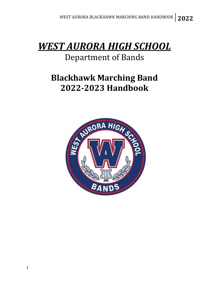# *WEST AURORA HIGH SCHOOL*

### Department of Bands

## **Blackhawk Marching Band 2022-2023 Handbook**

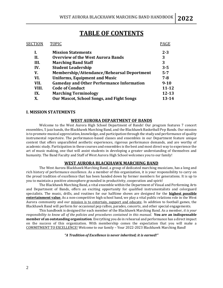### **TABLE OF CONTENTS**

| SECTION | <b>TOPIC</b>                                      | <b>PAGE</b> |
|---------|---------------------------------------------------|-------------|
| I.      | <b>Mission Statements</b>                         | $2 - 3$     |
| II.     | <b>Overview of the West Aurora Bands</b>          | 3           |
| III.    | <b>Marching Band Staff</b>                        | 3           |
| IV.     | <b>Student Leadership</b>                         | $3 - 5$     |
| V.      | <b>Membership/Attendance/Rehearsal Deportment</b> | $5 - 7$     |
| VI.     | <b>Uniforms, Equipment and Music</b>              | $7 - 8$     |
| VII.    | <b>Gameday and Other Performance Information</b>  | $9 - 10$    |
| VIII.   | <b>Code of Conduct</b>                            | $11 - 12$   |
| IX.     | <b>Marching Terminology</b>                       | $12 - 13$   |
| X.      | <b>Our Mascot, School Songs, and Fight Songs</b>  | 13-14       |

#### **I. MISSION STATEMENTS**

#### **WEST AURORA DEPARTMENT OF BANDS**

Welcome to the West Aurora High School Department of Bands! Our program features 7 concert ensembles, 5 jazz bands, the Blackhawk Marching Band, and the Blackhawk Basketball Pep Bands. Our mission is to promote musical appreciation, knowledge, and participation through the study and performance of quality instrumental repertoire. The performance-based classes and ensembles in our Department feature unique content that offers unparalleled aesthetic experiences, rigorous performance demands, and are worthy of academic study. Participation in these courses and ensembles is the best and most direct way to experience the art of music making, one that will assist students in developing a greater understanding of themselves and humanity. The Band Faculty and Staff of West Aurora High School welcomes you to our family!

#### **WEST AURORA BLACKHAWK MARCHING BAND**

The West Aurora Blackhawk Marching Band, a group of dedicated marching musicians, has a long and rich history of performance excellence. As a member of this organization, it is your responsibility to carry on the proud tradition of excellence that has been handed down by former members for generations. It is up to you to maintain a positive atmosphere grounded in productivity, cooperation and spirit!

The Blackhawk Marching Band, a vital ensemble within the Department of Visual and Performing Arts and Department of Bands, offers an exciting opportunity for qualified instrumentalists and colorguard specialists. The music, drills, and routines for our halftime shows are designed for the **highest possible entertainment value**. As a non-competitive high school band, we play a vital public relations role in the West Aurora community and our mission is to entertain, support and educate. In addition to football games, the Blackhawk Band will perform for occasional pep rallies, parades, concerts, and other special engagements.

This handbook is designed for each member of the Blackhawk Marching Band. As a member, *it is your responsibility to know all of the policies and procedures contained in this manual.* **You are an indispensable member of an outstanding organization**. Everything you do in rehearsal and performance has a direct impact on the success of this organization. With membership comes the expectation that you will make a COMMITMENT TO EXCELLENCE! Welcome to our family – Your 2022-2023 Blackhawk Marching Band!

*"A Tradition of Excellence is never inherited; it is earned!"*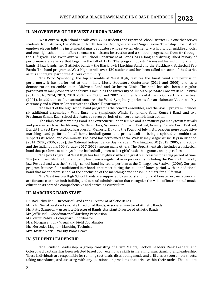#### **II. AN OVERVIEW OF THE WEST AURORA BANDS**

West Aurora High School enrolls over 3,700 students and is part of School District 129, one that serves students from Aurora, the Village of North Aurora, Montgomery, and Sugar Grove Township. The district employs eleven full-time instrumental music educators who serve ten elementary schools, four middle schools, and one high school in an effort to ensure consistent instruction and a smooth progression from 6th through the 12th grade. The West Aurora High School Department of Bands has a long and distinguished history of performance excellence that began in the fall of 1919. The program boasts 14 ensembles including 7 wind bands, 5 jazz bands, and 3 athletic bands – the Blackhawk Marching Band and the Blackhawk Basketball Pep Bands. The band program at West High enrolls over 420 students and has been called a beacon of the district as it is an integral part of the Aurora community.

The Wind Symphony, the top ensemble at West High, features the finest wind and percussion performers. It has performed at the Illinois Music Educators Conference (2011 and 2000) and as a demonstration ensemble at the Midwest Band and Orchestra Clinic. The band has also been a regular participant in many concert band festivals including the University of Illinois SuperState Concert Band Festival (2019, 2016, 2014, 2013, 2010, 2009, and 2008, and 2002) and the Bands of America Concert Band Festival (2001). In addition to four annual concerts, the Wind Symphony performs for an elaborate Veteran's Day ceremony and a Winter Concert with the Choral Department.

The heart of the high school band program is the concert ensembles, and the WAHS program includes six additional ensembles – Wind Ensemble, Symphonic Winds, Symphonic Band, Concert Band, and two Freshman Bands. Each school day features seven periods of concert ensemble instruction.

The Blackhawk Marching Band is an extracurricular ensemble and is a mainstay at many town festivals and parades such as the Marengo Settlers' Days, Sycamore Pumpkin Festival, Grundy County Corn Festival, Dwight Harvest Days, and local parades for Memorial Day and the Fourth of July in Aurora. Our non-competitive marching band performs for all home football games and prides itself on being a spirited ensemble that supports its school and community. The band has performed at the Walt Disney Magic Music Days in Orlando (2014, 2010, 2006, 2002), the National Independence Day Parade in Washington, DC (2012, 2005, and 2000), and the Indianapolis 500 Parade (2017, 2001) among many others. The Department also includes a basketball band that performs at all boys' home basketball games, select girls' basketball games, and pep rallies.

The Jazz Program at West High has been highly visible and greatly successful for a long period of time. The Jazz Ensemble, the top jazz band, has been a regular at area jazz events including the Purdue University Jazz Festival and was the first high school band invited to perform at the Chicago Jazz Festival (2006). Our jazz program features four auditioned jazz bands that meet during the students' lunch period, with an additional band that meet before school at the conclusion of the marching band season in a "jazz for all" format.

The West Aurora High School Bands are supported by an outstanding Band Booster organization and are fortunate to have both building and central administration that recognize the value of instrumental music education as part of a comprehensive and enriching curriculum.

#### **III. MARCHING BAND STAFF**

Dr. Rod Schueller – Director of Bands and Director of Athletic Bands Mr. John Sierakowski – Associate Director of Bands, Associate Director of Athletic Bands Ms. Patty Sampson – Associate Director of Bands, Assistant Director of Athletic Bands Mr. Jeff Kissel – Coordinator of Marching Percussion Ms. Johnni Zabka – Colorguard Coordinator Mrs. Morgan Smith – Visual and Field Coordinator Ms. Mercedes Maglio – Marching Technician Mrs. Kristin Voris – Varsity Poms Coach

#### **IV. STUDENT LEADERSHIP**

The Student Leadership, a group consisting of Drum Majors, Section Leaders Rank Leaders, and Colorguard Captains, has been selected based upon exemplary skills in marching, musicianship, and leadership. These individuals are responsible for running sectionals, distributing music and drill charts/coordinate sheets, taking attendance, and assisting with any questions or problems that arise within their ranks. The student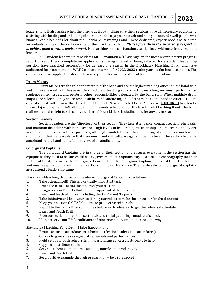leadership will also assist when the band travels by making sure their sections have all necessary equipment, assisting with loading and unloading of busses and the equipment truck, and being all-around swell people who know a whole heck of a lot about the Blackhawk Marching Band. These dedicated, experienced, and talented individuals will lead the rank-and-file of the Blackhawk Band. *Please give them the necessary respect to provide a good working environment.* No marching band can function at a high level without effective student leaders.

ALL student leadership candidates MUST maintain a "C" average on the most recent interim progress report or report card, complete an application showing interest in being selected for a student leadership position, have marched successfully for at least one season in the Blackhawk Marching Band, and have auditioned for placement in a WAHS concert ensemble for 2022-2023 (colorguard is the lone exception). The completion of an application does not ensure your selection for a student leadership position.

#### **Drum Majors**

Drum Majors are the student directors of the band and are the highest ranking officer on the band field and in the rehearsal hall. They assist the directors in teaching and correcting marching and music performance, student-related issues, and perform other responsibilities delegated by the band staff. When multiple drum majors are selected, they share responsibilities of conducting and of representing the band in official student capacities and will do so at the discretion of the staff. Newly selected Drum Majors are **REQUIRED** to attend a Drum Major Camp (Smith-Walbridge) and all events scheduled for the Blackhawk Marching Band. The band staff reserves the right to select any number of Drum Majors, including one, for any given season.

#### **Section Leaders**

Section Leaders are the "directors" of their section. They take attendance, conduct section rehearsals, and maintain discipline within the section. High levels of leadership, musicianship, and marching ability are needed when serving in these positions, although candidates will have differing skill sets. Section leaders should plan their rehearsals so that new music and difficult passages can be mastered. The section leader is appointed by the band staff after a review of all applications.

#### **Colorguard Captains**

The Colorguard Captains are in charge of their section and ensures everyone in the section has the equipment they need to be successful at any given moment. Captains may also assist in choreography for their section at the discretion of the Colorguard Coordinator. The Colorguard Captains are equal to section leaders and must keep discipline within their sections and take attendance. The newly selected Colorguard Captains must attend a leadership camp.

Blackhawk Marching Band Section Leader & Colorguard Captain Expectations

- 1. Take attendance!!! This is a critically important task!
- 2. Learn the names of ALL members of your section
- 3. Design section T-shirts that meet the approval of the band staff
- 4. Learn and teach all music, including the  $1<sup>st</sup>$ ,  $2<sup>nd</sup>$  and  $3<sup>rd</sup>$  parts
- 5. Take initiative and lead your section your role is to make the job easier for the directors
- 6. Keep your section ON-TASK to ensure productive rehearsals
- 7. Report to the band office 25 minutes before each rehearsal to get the rehearsal schedule
- 8. Learn and Teach Drill.
- 9. Promote section unity! Plan sectionals and social gatherings outside of school.
- 10. Help preserve our BMB traditions and start some new traditions along the way

Blackhawk Marching Band Drum Major Expectations

- 1. Ensure accurate attendance is submitted. (Section leaders take attendance)
- 2. Conducting music as assigned at rehearsals and performances
- 3. Field setup for both rehearsals and performances. Recruit students to help.
- 4. Copy and distribute music
- 5. Serve as rehearsal monitors attitude, morale and productivity
- 6. Learn and Teach Drill
- 7. Set a positive example through preparation be a role model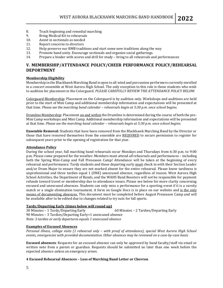- 8. Teach beginning and remedial marching
- 9. Bring Medical Kit to rehearsals
- 10. Assist in sectionals as needed
- 11. Report concerns to directors
- 12. Help preserve our BMB traditions and start some new traditions along the way
- 13. Promote band unity. Encourage sectionals and organize social gatherings.
- 14. Prepare a binder with scores and drill for study bring to all rehearsals and performances

#### **V. MEMBERSHIP/ATTENDANCE POLICY/CHEER PERFORMANCE POLICY/REHEARSAL DEPORTMENT**

#### **Membership Eligibility**

Membership in the Blackhawk Marching Band is open to all wind and percussion performers currently enrolled in a concert ensemble at West Aurora High School. The only exception to this rule is those students who wish to audition for placement in the Colorguard. *PLEASE CAREFULLY REVIEW THE ATTENDANCE POLICY BELOW.*

Colorguard Membership: Placement on the Colorguard is by audition only. Workshops and auditions are held prior to the start of Mini Camp and additional membership information and expectations will be presented at that time. *Please see the marching band calendar – rehearsals begin at 5:30 p.m. once school begins.*

Drumline Membership: Placement on and within the Drumline is determined during the course of both the pre-Mini Camp workshops and Mini Camp. Additional membership information and expectations will be presented at that time. *Please see the marching band calendar – rehearsals begin at 5:30 p.m. once school begins.*

**Ensemble Removal:** Students that have been removed from the Blackhawk Marching Band by the Director or those that have removed themselves from the ensemble are REQUIRED to secure permission to register for subsequent years prior to the opening of registration for that year.

#### **Attendance Policy**

During the school year, full marching band rehearsals occur Mondays and Thursdays from 6:30 p.m. to 9:00 p.m. Please come prepared for the weather. Members must attend *all* rehearsals and performances – including both the Spring Mini-Camp and Fall Preseason Camp! Attendance will be taken at the beginning of every rehearsal and performance. Tardy students and those departing early must check in with their Section Leader and/or Drum Major to ensure they are not marked absent for the entire rehearsal. Please know tardiness is unprofessional and three tardies equal 1 (ONE) unexcused absence, regardless of reason. West Aurora High School Activities, the Department of Bands, and the WAHS Band Boosters will not be responsible for payment refunds toward travel or membership due to attendance issues. Please see below for more clarity concerning excused and unexcused absences. Students can only miss a performance for a sporting event if it is a varsity match or a single elimination tournament. A form on Google Docs is in place on our website and is the only means of documenting absences. This document must be completed before August Preseason Camp and will be available after to be edited due to changes related to try outs for fall sports.

#### **Tardy/Departing Early (times below will round up)**

30 Minutes – 1 Tardy/Departing Early 60 Minutes – 2 Tardies/Departing Early 90 Minutes – 3 Tardies/Departing Early=1 unexcused absence *Note: 3 tardies or early departures equals 1 unexcused absence*

#### **Examples of Excused Absences**

*Personal illness, college visits (1 rehearsal only – with proof of attendance), special West Aurora High School events, emergencies with provided documentation. Other absences may be reviewed on a case-by-case basis.*

**Excused absences**: Requests for an excused absence can only be approved by band faculty/staff via email or written note from a parent or guardian. Requests should be submitted no later than one week before the expected absence unless an emergency arises.

#### **4 Excused Rehearsal Absences – Loss of Marching Band Letter or Chevron**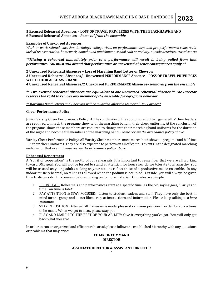#### **5 Excused Rehearsal Absences – LOSS OF TRAVEL PRIVILEGES WITH THE BLACKHAWK BAND 6 Excused Rehearsal Absences –** *Removal from the ensemble*

#### **Examples of Unexcused Absences**

*Work or work related, vacation, birthdays, college visits on performance days and pre-performance rehearsals, lack of transportation, homework, homebound punishment, school club or activity, outside activities, travel sports*

*\*\*Missing a rehearsal immediately prior to a performance will result in being pulled from that performance. You must still attend that performance or unexcused absence consequences apply.\*\**

**2 Unexcused Rehearsal Absences – Loss of Marching Band Letter or Chevron**

**3 Unexcused Rehearsal Absences/1 Unexcused PERFORMANCE Absence – LOSS OF TRAVEL PRIVILEGES WITH THE BLACKHAWK BAND**

**4 Unexcused Rehearsal Absences/2 Unexcused PERFORMANCE Absences–** *Removal from the ensemble*

*\*\* Two excused rehearsal absences are equivalent to one unexcused rehearsal absence.\*\* The Director reserves the right to remove any member of the ensemble for egregious behavior.*

*\*\*Marching Band Letters and Chevrons will be awarded after the Memorial Day Parade\*\**

#### **Cheer Performance Policy**

Junior Varsity Cheer Performance Policy: At the conclusion of the sophomore football game, all JV cheerleaders are required to march the pregame show with the marching band in their cheer uniforms. At the conclusion of the pregame show, those members are required to change into their marching band uniforms for the duration of the night and become full members of the marching band. *Please review the attendance policy above.*

Varsity Cheer Performance Policy: All Varsity Cheer members must march both shows –pregame and halftime – in their cheer uniforms. They are also expected to perform in all off campus events in the designated marching uniform for that event. *Please review the attendance policy above.*

#### **Rehearsal Deportment**

A "spirit of cooperation" is the motto of our rehearsals. It is important to remember that we are all working toward ONE goal. You will not be forced to stand at attention for hours nor do we tolerate total anarchy. You will be treated as young adults as long as your actions reflect those of a productive music ensemble. In any indoor music rehearsal, no talking is allowed when the podium is occupied. Outside, you will always be given time to discuss drill maneuvers before moving on to more material. Our rules are simple:

- 1. BE ON TIME: Rehearsals and performances start at a specific time. As the old saying goes, "Early is on time…on time is late!"
- 2. PAY ATTENTION & STAY FOCUSED: Listen to student leaders and staff. They have only the best in mind for the group and do not like to repeat instructions and information. Please keep talking to a *bare minimum.*
- 3. STAY IN POSITION: After a drill maneuver is made, please stay in your position in order for corrections to be made. When we get to a set, please stay put.
- 4. PLAY AND MARCH TO THE BEST OF YOUR ABILITY: Give it everything you've got. You will only get back what you give.

In order to run an organized and efficient rehearsal, please follow the established hierarchy with any questions or problems that may arise:

#### **CHAIN OF COMMAND DIRECTOR ^ ASSOCIATE DIRECTOR & ASSISTANT DIRECTOR**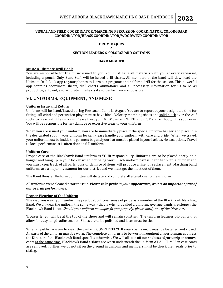#### **VISUAL AND FIELD COORDINATOR/MARCHING PERCUSSION COORDINATOR/COLORGUARD COORDINATOR/BRASS COORDINATOR/WOODWIND COORDINATOR**

**^**

#### **DRUM MAJORS ^**

#### **SECTION LEADERS & COLORGUARD CAPTAINS**

**^**

#### **BAND MEMBER**

#### **Music & Ultimate Drill Book**

You are responsible for the music issued to you. You must have all materials with you at every rehearsal, including a pencil. Only Band Staff will be issued drill charts. All members of the band will download the Ultimate Drill Book app to your phones to learn our pregame and halftime drill for the season. This powerful app contains coordinate sheets, drill charts, animations, and all necessary information for us to be as productive, efficient, and accurate in rehearsal and performance as possible.

#### **VI. UNIFORMS, EQUIPMENT, AND MUSIC**

#### **Uniform Issue and Return**

Uniforms will be fitted/issued during Preseason Camp in August. You are to report at your designated time for fitting. All wind and percussion players must have black Velocity marching shoes and solid black over-the-calf socks to wear with the uniform. Please treat your NEW uniform WITH RESPECT and as though it is your own. You will be responsible for any damage or excessive wear to your uniform.

When you are issued your uniform, you are to immediately place it the special uniform hanger and place it in the designated spot in your uniform locker. Please handle your uniform with care and pride. When we travel, your uniform must be inside the garment bag and your hat must be placed in your hatbox. No exceptions. Travel to local performances is often done in full uniform.

#### **Uniform Care**

Proper care of the Blackhawk Band uniform is YOUR responsibility. Uniforms are to be placed neatly on a hanger and hung up in your locker when not being worn. Each uniform part is identified with a number and you must keep track of all parts. Loss or damage of items will produce a fine for replacement. Marching band uniforms are a major investment for our district and we must get the most out of them.

The Band Booster Uniform Committee will dictate and complete all alterations to the uniform.

All uniforms were cleaned prior to issue. *Please take pride in your appearance, as it is an important part of our overall performance.*

#### **Proper Wearing of the Uniform**

The way you wear your uniform says a lot about your sense of pride as a member of the Blackhawk Marching Band. We all wear the uniform the same way - that is why it is called a uniform. Average bands are sloppy; the Blackhawk Band is not. *Should your uniform no longer fit you properly, please notify one of the Directors.*

Trouser length will be at the top of the shoes and will remain constant. The uniform features bib pants that allow for easy length adjustments. Shoes are to be polished and laces must be clean.

When in public, you are to wear the uniform COMPLETELY! If your coat is on, it must be fastened and closed. All parts of the uniform must be worn. The complete uniform is to be worn throughout all performances unless the Director of the Blackhawk Band specifies otherwise. We will all take off our shakos and/or unzip or remove coats at the same time. Blackhawk Band t-shirts are worn underneath the uniform AT ALL TIMES in case coats are removed. Further, we do not sit on the ground in uniform and members must be check their seats prior to sitting.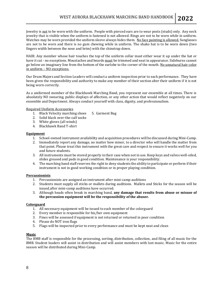Jewelry is not to be worn with the uniform. People with pierced ears are to wear posts (studs) only. Any neck jewelry that is visible when the uniform is fastened is not allowed. Rings are not to be worn while in uniform. Watches may be worn provided the uniform sleeve always hides them. No face painting is allowed. Sunglasses are not to be worn and there is no gum chewing while in uniform. The shako hat is to be worn down (two fingers width between the nose and brim) with the chinstrap down.

HAIR: Any member whose hair touches the top of the uniform collar must either wear it up under the hat or have it cut - no exceptions. Moustaches and beards must be trimmed and neat in appearance. Sideburns cannot go below an imaginary line from the bottom of the earlobe to the corner of the mouth. No unnatural hair color in uniform – NO exceptions.

Our Drum Majors and Section Leaders will conduct a uniform inspection prior to each performance. They have been given the responsibility and authority to make any member of their section alter their uniform if it is not being worn correctly.

As a uniformed member of the Blackhawk Marching Band, you represent our ensemble at all times. There is absolutely NO swearing, public displays of affection, or any other action that would reflect negatively on our ensemble and Department. Always conduct yourself with class, dignity, and professionalism.

Required Uniform Accessories

- 1. Black Velocity marching shoes 5. Garment Bag
- 2. Solid black over-the-calf socks
- 3. White gloves (all winds)
- 4. Blackhawk Band T-shirt

#### **Equipment**

- 1. School-owned instrument availability and acquisition procedures will be discussed during Mini-Camp.
- 2. Immediately report any damage, no matter how minor, to a director who will handle the matter from that point. Please treat this instrument with the great care and respect to ensure it works well for you and future students.
- 3. Allinstruments must be stored properly in their case when not in use. Keep keys and valves well-oiled, slides greased and pads in good condition. Maintenance is your responsibility.
- 4. The marching band staff reserves the right to deny students the ability to participate or perform if their instrument is not in good working condition or in proper playing condition.

#### **Percussionists**

- 1. Percussionists are assigned an instrument after mini-camp auditions
- 2. Students must supply all sticks or mallets during auditions. Mallets and Sticks for the season will be issued after mini-camp auditions have occurred.
- 3. Although heads often break in marching band, **any damage that results from abuse or misuse of the percussion equipment will be the responsibility of the abuser.**

#### **Colorguard**

- 1. All necessary equipment will be issued to each member of the colorguard
- 2. Every member is responsible for his/her own equipment
- 3. Fines will be assessed if equipment is not returned or returned in poor condition
- 4. Please do NOT iron flags
- 5. Flags will be inspected prior to every performance and must be kept neat and clean

#### **Music**

The BMB staff is responsible for the processing, sorting, distribution, collection, and filing of all music for the BMB. Student leaders will assist in distribution and will assist members with lost music. Music for the entire season will be distributed during Mini-Camp.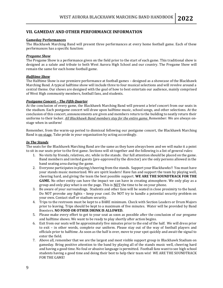#### **VII. GAMEDAY AND OTHER PERFORMANCE INFORMATION**

#### **Gameday Performances**

The Blackhawk Marching Band will present three performances at every home football game. Each of these performances has a specific function:

#### *Pregame Show*

The Pregame Show is a performance given on the field prior to the start of each game. This traditional show is designed as a salute and tribute to both West Aurora High School and our country. The Pregame Show will remain the same for each home football game.

#### *Halftime Show*

The Halftime Show is our premiere performance at football games – designed as a showcase of the Blackhawk Marching Band. A typical halftime show will include three to four musical selections and will revolve around a central theme. Our shows are designed with the goal of how to best entertain our audience, mainly comprised of West High community members, football fans, and students.

#### *Postgame Concert – The Fifth Quarter*

At the conclusion of every game, the Blackhawk Marching Band will present a brief concert from our seats in the stadium. Each postgame concert will draw upon halftime music, school songs, and other selections. At the conclusion of this concert, announcements are given and members return to the building to neatly return their uniforms to their locker. *All Blackhawk Band members stay for the entire game.* Remember: We are always onstage when in uniform!

Remember, from the warm-up period to dismissal following our postgame concert, the Blackhawk Marching Band is on-stage. Take pride in your organization by acting accordingly.

#### *In The Stands*

The seats for the Blackhawk Marching Band are the same as they have always been and we will make it a point to sit in our seats prior to the first game. Sections will sit together and the following is a list of general rules:

- 1. No visits by friends, relatives, etc. while in the stands. Our full attention should be placed on the game. Band members and invited guests (pre-approved by the director) are the only persons allowed in the band seating area during the game.
- 2. Everyone participates in playing/cheering from the stands. Support your Blackhawks!! You must have your stands music memorized. We are spirit leaders! Have fun and support the team by playing well, cheering hard, and giving the team the best possible support. **WE ARE THE SOUNDTRACK FOR THE GAME.** No other entity can have the impact we can have in creating atmosphere. We only play as a group and only play what is on the page. This is NOT the time to be on your phone.
- 3. Be aware of your surroundings. Students and other fans will be seated in close proximity to the band. Do NOT provoke any fights – keep your cool. Do NOT try to handle a potential security problem on your own. Contact staff or stadium security.
- 4. Trips to the restroom must be kept to a BARE minimum. Check with Section Leaders or Drum Majors prior to leaving. Trips should be kept to a maximum of five minutes. Water will be provided by Band Boosters. **NO FOOD OR OTHER DRINK IS ALLOWED.**
- 5. Please make every effort to get to your seat as soon as possible after the conclusion of our pregame and halftime shows. We want to be ready to play shortly after action begins.
- 6. Exit from our seats will be approximately five minutes prior to the end of the half. We will dress prior to exit – in other words, complete our uniform. Please stay out of the way of football players and officials prior to halftime. As soon as the half is over, move to your spot quickly and await the signal to enter the field.
- 7. Above all, remember that we are the largest and most visible support group in Blackhawk Stadium on gameday. Bring positive attention to the band by playing all of the stands music well, cheering hard and having a good time. No foul or abusive language is permitted. Football fans want to see high school students having a good time and doing their best to help their team win! WE ARE THE SOUNDTRACK FOR THE GAME!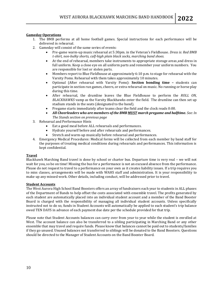#### **Gameday Operations**

- 1. The BMB performs at all home football games. Special instructions for each performance will be delivered in rehearsal.
- 2. Gameday will consist of the same series of events:
	- Pre-game warm-up music rehearsal at 5:30pm. in the Veteran's Fieldhouse. *Dress is: Red BMB t-shirt, non-bulky shorts, calf-high plain black socks, marching band shoes.*
	- At the end of rehearsal, members take instruments to appropriate storage areas and dress in full uniform. Keep a close eye on all uniform parts and remember your uniform numbers. You are responsible for lost or stolen parts.
	- Members report to Blue Fieldhouse at approximately 6:10 p.m. to stage for rehearsal with the Varsity Poms. Rehearsal with them takes approximately 10 minutes.
	- Optional (After rehearsal with Varsity Poms): **Section bonding time –** students can participate in section run games, cheers, or extra rehearsal on music. No running or horse play during this time.
	- After rehearsal, the drumline leaves the Blue Fieldhouse to perform the *ROLL ON, BLACKHAWKS* vamp as the Varsity Blackhawks enter the field. The drumline can then set up stadium stands in the seats (designated to the band).
	- Pregame starts immediately after teams clear the field and the clock reads 0:00.
	- *All Cheerleaders who are members of the BMB MUST march pregame and halftime. See: In The Stands section on previous page*
- 3. Rehearsal and Performance Hints
	- Eat a good meal before ALL rehearsals and performances.
	- Hydrate yourself before and after rehearsals and performances.
	- Stretch and warm-up musically before rehearsal and performances.
- 4. Emergency Medical Procedures: Medical forms will be collected from each member by band staff for the purposes of treating medical conditions during rehearsals and performances. This information is kept confidential.

#### **Travel**

Blackhawk Marching Band travel is done by school or charter bus. Departure time is very real – we will not wait for you, so be on time! Missing the bus for a performance is not an excused absence from the performance. Please do not request to travel to a performance on your own as it creates liability issues. If a trip requires you to miss classes, arrangements will be made with WAHS staff and administration. It is your responsibility to make up any missed work. Other details, including conduct, will be addressed prior to travel.

#### **Student Accounts**

The West Aurora High School Band Boosters offers an array of fundraisers each year to students in ALL phases of the Department of Bands to help offset the costs associated with ensemble travel. The profits generated by each student are automatically placed into an individual student account and a member of the Band Booster Board is charged with the responsibility of managing all individual student accounts. Unless specifically instructed not to do so, funds in Student Accounts will automatically be applied to each student's trip balance owed TEN DAYS in advance of each payment due date per the schedule provided for that trip.

Please note that Student Accounts balances can carry over from year to year while the student is enrolled at West. The account balance can also be transferred to a sibling participating in Marching Band or any other ensemble that may travel and require funds. Please know that balances cannot be paid out to students/families if they go unused. Unused balances not transferred to siblings will be donated to the Band Boosters. Questions should be directed to the Manager of Student Accounts on the Band Booster Board.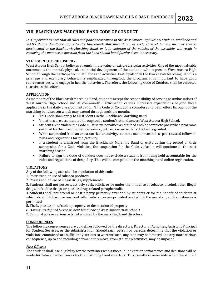#### **VIII. BLACKHAWK MARCHING BAND CODE OF CONDUCT**

*It is important to note that all rules and policies contained in the West Aurora High School Student Handbook and WAHS Bands Handbook apply to the Blackhawk Marching Band. As such, conduct by any member that is detrimental to the Blackhawk Marching Band, or is in violation of the policies of the ensemble, will result in removing the member in question from the band should band faculty deem it necessary.*

#### **STATEMENT OF PHILOSOPHY**

West Aurora High School believes strongly in the value of extra-curricular activities. One of the most valuable outcomes is the mental, physical, and social development of the students who represent West Aurora High School through the participation in athletics and activities. Participation in the Blackhawk Marching Band is a privilege and exemplary behavior is emphasized throughout the program. It is important to have good representatives who engage in healthy behaviors. Therefore, the following Code of Conduct shall be enforced to assist in this effort.

#### **APPLICATION**

As members of the Blackhawk Marching Band, students accept the responsibility of serving as ambassadors of West Aurora High School and its community. Participation carries increased expectations beyond those applicable in the daily classroom situation. This Code of Conduct is considered to be in effect throughout the marching band season which may extend through multiple months.

- This Code shall apply to all students in the Blackhawk Marching Band.
- Violations are accumulated throughout a student's attendance at West Aurora High School.
- Students who violate the Code must serve penalties as outlined and/or complete prescribed programs outlined by the directors before re-entry into extra-curricular activities is granted.
- When suspended from an extra-curricular activity, students must nevertheless practice and follow all rules and regulations for the /activity.
- If a student is dismissed from the Blackhawk Marching Band or quits during the period of their suspension for a Code violation, the suspension for the Code violation will continue to the next marching season.
- Failure to sign the Code of Conduct does not exclude a student from being held accountable for the rules and regulations of this policy. This will be completed in the marching band online registration.

#### **VIOLATIONS**

Any of the following acts shall be a violation of this code:

- 1. Possession or use of tobacco products.
- 2. Possession or use of illegal drugs/supplements

3. Students shall not possess, actively seek, solicit, or be under the influence of tobacco, alcohol, other illegal drugs, look-alike drugs, or possess drug-related paraphernalia.

4. Students shall not attend or host a party primarily attended by students or for the benefit of students at which alcohol, tobacco or any controlled substances are provided or at which the use of any such substances is permitted.

5. Theft, possession of stolen property, or destruction of property

6. Hazing *(as defined by the student handbook of West Aurora High School)*

7. Criminal acts or serious acts determined by the marching band directors.

#### **CONSEQUENCES**

The following consequences are guidelines followed by the directors, Director of Activities, Assistant Principal for Student Services, or the Administration. Should such person or persons determine that the violation or violations committed are sufficiently serious to warrant such, any step may be omitted and any more serious consequence, up to and including permanent removal from athletics/activities, may be imposed.

#### *First Offense:*

The student shall lose eligibility for the next interscholastic/public event or performance and decisions will be made for future performances by the marching band directors. This penalty is reversible when the student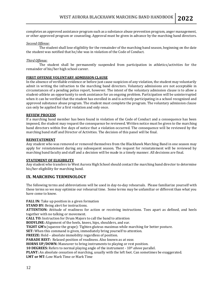completes an approved assistance program such as a substance abuse prevention program, anger management, or other approved program or counseling. Approval must be given in advance by the marching band directors.

#### *Second Offense:*

The student shall lose eligibility for the remainder of the marching band season, beginning on the date the student was notified that he/she was in violation of the Code of Conduct.

#### *Third Offense:*

The student shall be permanently suspended from participation in athletics/activities for the remainder of his/her high school career.

#### **FIRST OFFENSE VOLUNTARY ADMISSION CLAUSE**

In the absence of verifiable evidence or before just cause suspicion of any violation, the student may voluntarily admit in writing the infraction to the marching band directors. Voluntary admissions are not acceptable in circumstances of a pending police report, however. The intent of the voluntary admission clause is to allow a student-athlete an opportunity to seek assistance for an ongoing problem. Participation will be uninterrupted when it can be verified that the student has enrolled in and is actively participating in a school recognized and approved substance abuse program. The student must complete the program. The voluntary admission clause can only be applied for a first violation and only once.

#### **REVIEW PROCESS**

If a marching band member has been found in violation of the Code of Conduct and a consequence has been imposed, the student may request the consequence be reviewed. Written notice must be given to the marching band directors within five days of notice that a violation occurred. The consequence will be reviewed by the marching band staff and Director of Activities. The decision of this panel will be final.

#### **REINSTATEMENT**

Any student who was removed or removed themselves from the Blackhawk Marching Band in one season may apply for reinstatement during any subsequent season. The request for reinstatement will be reviewed by marching band faculty and staff and a decision will be made in a timely manner. All decisions are final.

#### **STATEMENT OF ELIGIBILITY**

Any student who transfers to West Aurora High School should contact the marching band director to determine his/her eligibility for marching band.

#### **IX. MARCHING TERMINOLOGY**

The following terms and abbreviations will be used in day-to-day rehearsals. Please familiarize yourself with these terms so we may optimize our rehearsal time. Some terms may be unfamiliar or different than what you have come to know.

**FALL IN:** Take up position in a given formation

**STAND BY:** Being alert for instructions.

**ATTENTION:** Attitude of readiness for action or receiving instructions. Toes apart as defined, and heels together with no talking or movement.

**CALL TO:** Instruction for Drum Majors to call the band to attention

**BODYLINE:** Alignment of the heels, knees, hips, shoulders, and ear.

**TIGHT GM's** (squeeze the grape): Tighten gluteus maximus while marching for better posture.

**SET:** When this command is given, immediately bring yourself to attention.

**FREEZE:** Hold – absolute immobility regardless of position.

**PARADE REST:** Relaxed position of readiness. Also known as *at ease*.

**HORNS UP/DOWN:** Maneuver to bring instruments to playing or rest position.

**10 DEGREES:** Refers to normal playing angle of the instrument - 10º *above* parallel.

**PLANT:** An absolute cessation of marching, usually with the left foot. Can sometimes be exaggerated.

**LMT or MT:** Low Mark Time or Mark Time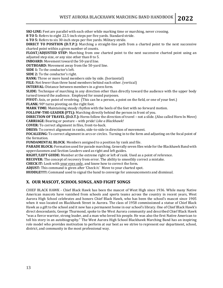**SKI-LINE:** Feet are parallel with each other while marking time or marching, never crossing.

**8 TO 5:** Refers to eight 22.5-inch steps per five yards. Standard stride.

**6 TO 5:** Refers to six 30-inch steps per five yards. Military stride.

**DIRECT TO POSITION (D.T.P.):** Marching a straight-line path from a charted point to the next successive charted point within a given number of counts.

**FLOAT/ADJUSTED STEP:** Marching from one charted point to the next successive charted point using an adjusted step size, or any size other than 8 to 5.

**INBOARD:** Movement toward the 50-yard line.

**OUTBOARD:** Movement away from the 50-yard line.

**SIDE 1:** To the conductor's left.

**SIDE 2:** To the conductor's right.

**RANK:** Three or more band members side by side. (horizontal)

**FILE:** Not fewer than three band members behind each other. (vertical)

**INTERVAL:** Distance between members in a given form.

**SLIDE:** Technique of marching in any direction other than directly toward the audience with the upper body turned toward the audience. Employed for sound purposes.

**PIVOT:** Axis, or point of revolving. (This can be a person, a point on the field, or one of your feet.)

**FLANK:** 90º turns pivoting on the right foot.

**MARK TIME:** Maintaining steady rhythm with the heels of the feet with no forward motion.

**FOLLOW-THE-LEADER (FTL):** Marching directly behind the person in front of you.

**DIRECTION OF TRAVEL (D.O.T.):** Horns follow the direction of travel – not a slide. (Also called Horn In Move) **CARRIAGE:** Bearing or posture – with pride! *Like a Blackhawk!*

**COVER:** To correct alignment in files, front-to-back.

**DRESS:** To correct alignment in ranks, side-to-side in direction of movement.

**FOCALIZING:** To correct alignment in arcs or circles. Turning in to the form and adjusting on the focal point of the formation.

**FUNDAMENTAL BLOCK**: Members assigned to a position by rank and file.

**PARADE BLOCK:** Formation used for parade marching. Generally seven files wide for the Blackhawk Band with upperclassmen and Section Leaders used as right and left guides.

**RIGHT/LEFT GUIDE:** Member at the extreme right or left of rank. Used as a point of reference.

**RECOVER:** The concept of recovery from error. The ability to smoothly correct a mistake.

**CHECK IT:** Look with your eyes only, and know how to correct the form.

**ADJUST:** This command is given after 'Check it.' Move to your charted spot.

**HUDDLE!!!!!:** Command used to signal the band to converge for announcements and dismissal.

#### **X. OUR MASCOT, SCHOOL SONGS, AND FIGHT SONGS**

CHIEF BLACK HAWK - Chief Black Hawk has been the mascot of West High since 1936. While many Native American mascots have vanished from schools and sports teams across the country in recent years, [West](http://www.sd129.org/westhigh/)  [Aurora High School](http://www.sd129.org/westhigh/) [celebrates and honors Chief Black Hawk](http://beaconnews.suntimes.com/photos/galleries/7348848-417/black-hawk-takes-his-place-at-west-high.html), who has been the school's mascot since 1905 when it was located on Blackhawk Street in Aurora. The class of 1958 commissioned a statue of Chief Black Hawk as a gift to the school and it now has a permanent home in our school's library. One of Chief Black Hawk's direct descendants, George Thurmond, spoke to the West Aurora community and described Chief Black Hawk "was a fierce warrior, strong leader, and a man who loved his people. He was also the first Native American to tell his story in an autobiography." The West Aurora High School Blackhawk Marching Band has an inspiring role model who provides motivation to perform at our best as we strive to represent our department, school, district, and community in the most professional way.